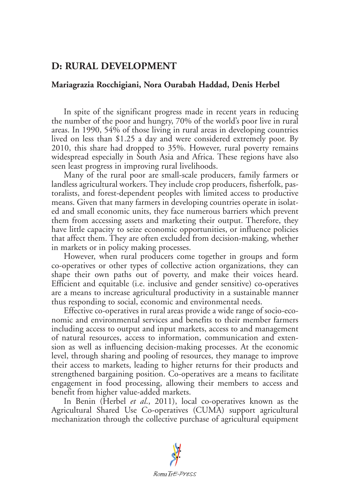## **D: RURAL DEVELOPMENT**

## **Mariagrazia Rocchigiani, Nora Ourabah Haddad, Denis Herbel**

In spite of the significant progress made in recent years in reducing the number of the poor and hungry, 70% of the world's poor live in rural areas. In 1990, 54% of those living in rural areas in developing countries lived on less than \$1.25 a day and were considered extremely poor. By 2010, this share had dropped to 35%. However, rural poverty remains widespread especially in South Asia and Africa. These regions have also seen least progress in improving rural livelihoods.

Many of the rural poor are small-scale producers, family farmers or landless agricultural workers. They include crop producers, fisherfolk, pastoralists, and forest-dependent peoples with limited access to productive means. Given that many farmers in developing countries operate in isolated and small economic units, they face numerous barriers which prevent them from accessing assets and marketing their output. Therefore, they have little capacity to seize economic opportunities, or influence policies that affect them. They are often excluded from decision-making, whether in markets or in policy making processes.

However, when rural producers come together in groups and form co-operatives or other types of collective action organizations, they can shape their own paths out of poverty, and make their voices heard. Efficient and equitable (i.e. inclusive and gender sensitive) co-operatives are a means to increase agricultural productivity in a sustainable manner thus responding to social, economic and environmental needs.

Effective co-operatives in rural areas provide a wide range of socio-economic and environmental services and benefits to their member farmers including access to output and input markets, access to and management of natural resources, access to information, communication and extension as well as influencing decision-making processes. At the economic level, through sharing and pooling of resources, they manage to improve their access to markets, leading to higher returns for their products and strengthened bargaining position. Co-operatives are a means to facilitate engagement in food processing, allowing their members to access and benefit from higher value-added markets.

In Benin (Herbel *et al*., 2011), local co-operatives known as the Agricultural Shared Use Co-operatives (CUMA) support agricultural mechanization through the collective purchase of agricultural equipment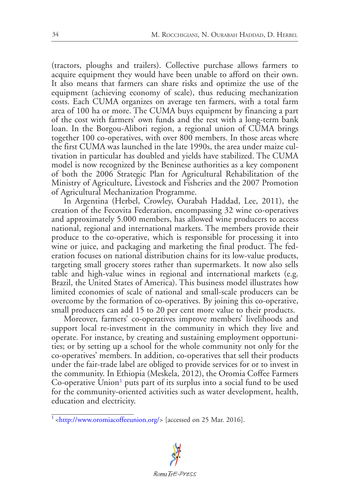(tractors, ploughs and trailers). Collective purchase allows farmers to acquire equipment they would have been unable to afford on their own. It also means that farmers can share risks and optimize the use of the equipment (achieving economy of scale), thus reducing mechanization costs. Each CUMA organizes on average ten farmers, with a total farm area of 100 ha or more. The CUMA buys equipment by financing a part of the cost with farmers' own funds and the rest with a long-term bank loan. In the Borgou-Alibori region, a regional union of CUMA brings together 100 co-operatives, with over 800 members. In those areas where the first CUMA was launched in the late 1990s, the area under maize cultivation in particular has doubled and yields have stabilized. The CUMA model is now recognized by the Beninese authorities as a key component of both the 2006 Strategic Plan for Agricultural Rehabilitation of the Ministry of Agriculture, Livestock and Fisheries and the 2007 Promotion of Agricultural Mechanization Programme.

In Argentina (Herbel, Crowley, Ourabah Haddad, Lee, 2011), the creation of the Fecovita Federation, encompassing 32 wine co-operatives and approximately 5.000 members, has allowed wine producers to access national, regional and international markets. The members provide their produce to the co-operative, which is responsible for processing it into wine or juice, and packaging and marketing the final product. The federation focuses on national distribution chains for its low-value products, targeting small grocery stores rather than supermarkets. It now also sells table and high-value wines in regional and international markets (e.g. Brazil, the United States of America). This business model illustrates how limited economies of scale of national and small-scale producers can be overcome by the formation of co-operatives. By joining this co-operative, small producers can add 15 to 20 per cent more value to their products.

Moreover, farmers' co-operatives improve members' livelihoods and support local re-investment in the community in which they live and operate. For instance, by creating and sustaining employment opportunities; or by setting up a school for the whole community not only for the co-operatives' members. In addition, co-operatives that sell their products under the fair-trade label are obliged to provide services for or to invest in the community. In Ethiopia (Meskela, 2012), the Oromia Coffee Farmers Co-operative Union<sup>[1](#page-1-0)</sup> puts part of its surplus into a social fund to be used for the community-oriented activities such as water development, health, education and electricity.

<span id="page-1-1"></span><span id="page-1-0"></span> $^1$  $^1$  [<http://www.oromiacoffeeunion.org/>](http://www.oromiacoffeeunion.org/) [accessed on 25 Mar. 2016].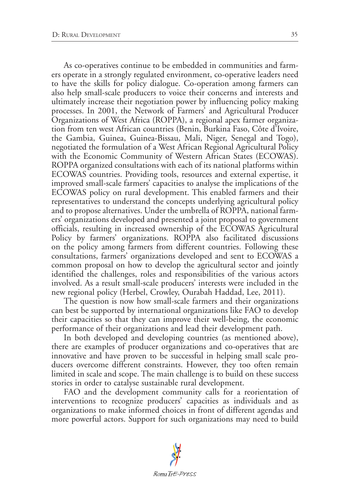As co-operatives continue to be embedded in communities and farmers operate in a strongly regulated environment, co-operative leaders need to have the skills for policy dialogue. Co-operation among farmers can also help small-scale producers to voice their concerns and interests and ultimately increase their negotiation power by influencing policy making processes. In 2001, the Network of Farmers' and Agricultural Producer Organizations of West Africa (ROPPA), a regional apex farmer organization from ten west African countries (Benin, Burkina Faso, Côte d'Ivoire, the Gambia, Guinea, Guinea-Bissau, Mali, Niger, Senegal and Togo), negotiated the formulation of a West African Regional Agricultural Policy with the Economic Community of Western African States (ECOWAS). ROPPA organized consultations with each of its national platforms within ECOWAS countries. Providing tools, resources and external expertise, it improved small-scale farmers' capacities to analyse the implications of the ECOWAS policy on rural development. This enabled farmers and their representatives to understand the concepts underlying agricultural policy and to propose alternatives. Under the umbrella of ROPPA, national farmers' organizations developed and presented a joint proposal to government officials, resulting in increased ownership of the ECOWAS Agricultural Policy by farmers' organizations. ROPPA also facilitated discussions on the policy among farmers from different countries. Following these consultations, farmers' organizations developed and sent to ECOWAS a common proposal on how to develop the agricultural sector and jointly identified the challenges, roles and responsibilities of the various actors involved. As a result small-scale producers' interests were included in the new regional policy (Herbel, Crowley, Ourabah Haddad, Lee, 2011).

The question is now how small-scale farmers and their organizations can best be supported by international organizations like FAO to develop their capacities so that they can improve their well-being, the economic performance of their organizations and lead their development path.

In both developed and developing countries (as mentioned above), there are examples of producer organizations and co-operatives that are innovative and have proven to be successful in helping small scale producers overcome different constraints. However, they too often remain limited in scale and scope. The main challenge is to build on these success stories in order to catalyse sustainable rural development.

FAO and the development community calls for a reorientation of interventions to recognize producers' capacities as individuals and as organizations to make informed choices in front of different agendas and more powerful actors. Support for such organizations may need to build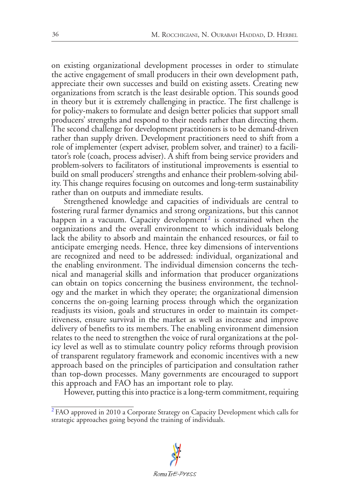on existing organizational development processes in order to stimulate the active engagement of small producers in their own development path, appreciate their own successes and build on existing assets. Creating new organizations from scratch is the least desirable option. This sounds good in theory but it is extremely challenging in practice. The first challenge is for policy-makers to formulate and design better policies that support small producers' strengths and respond to their needs rather than directing them. The second challenge for development practitioners is to be demand-driven rather than supply driven. Development practitioners need to shift from a role of implementer (expert adviser, problem solver, and trainer) to a facilitator's role (coach, process adviser). A shift from being service providers and problem-solvers to facilitators of institutional improvements is essential to build on small producers' strengths and enhance their problem-solving ability. This change requires focusing on outcomes and long-term sustainability rather than on outputs and immediate results.

<span id="page-3-1"></span>Strengthened knowledge and capacities of individuals are central to fostering rural farmer dynamics and strong organizations, but this cannot happen in a vacuum. Capacity development<sup>[2](#page-3-0)</sup> is constrained when the organizations and the overall environment to which individuals belong lack the ability to absorb and maintain the enhanced resources, or fail to anticipate emerging needs. Hence, three key dimensions of interventions are recognized and need to be addressed: individual, organizational and the enabling environment. The individual dimension concerns the technical and managerial skills and information that producer organizations can obtain on topics concerning the business environment, the technology and the market in which they operate; the organizational dimension concerns the on-going learning process through which the organization readjusts its vision, goals and structures in order to maintain its competitiveness, ensure survival in the market as well as increase and improve delivery of benefits to its members. The enabling environment dimension relates to the need to strengthen the voice of rural organizations at the policy level as well as to stimulate country policy reforms through provision of transparent regulatory framework and economic incentives with a new approach based on the principles of participation and consultation rather than top-down processes. Many governments are encouraged to support this approach and FAO has an important role to play.

However, putting this into practice is a long-term commitment, requiring

<span id="page-3-0"></span>[<sup>2</sup>](#page-3-1) FAO approved in 2010 a Corporate Strategy on Capacity Development which calls for strategic approaches going beyond the training of individuals.